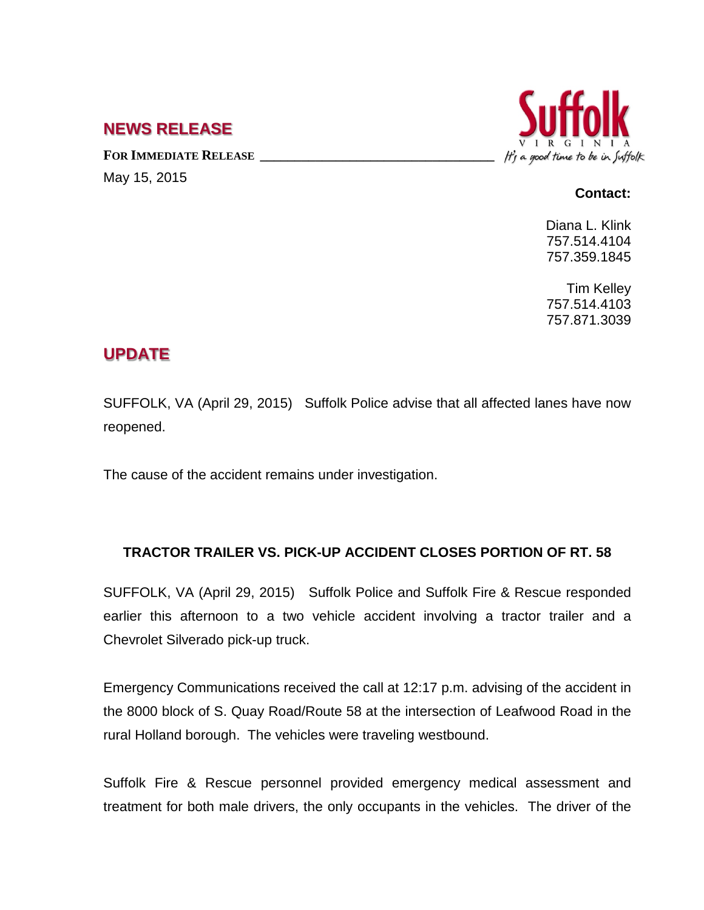## **NEWS RELEASE**

FOR **IMMEDIATE RELEASE** May 15, 2015



## **Contact:**

Diana L. Klink 757.514.4104 757.359.1845

Tim Kelley 757.514.4103 757.871.3039

## **UPDATE**

SUFFOLK, VA (April 29, 2015) Suffolk Police advise that all affected lanes have now reopened.

The cause of the accident remains under investigation.

## **TRACTOR TRAILER VS. PICK-UP ACCIDENT CLOSES PORTION OF RT. 58**

SUFFOLK, VA (April 29, 2015) Suffolk Police and Suffolk Fire & Rescue responded earlier this afternoon to a two vehicle accident involving a tractor trailer and a Chevrolet Silverado pick-up truck.

Emergency Communications received the call at 12:17 p.m. advising of the accident in the 8000 block of S. Quay Road/Route 58 at the intersection of Leafwood Road in the rural Holland borough. The vehicles were traveling westbound.

Suffolk Fire & Rescue personnel provided emergency medical assessment and treatment for both male drivers, the only occupants in the vehicles. The driver of the